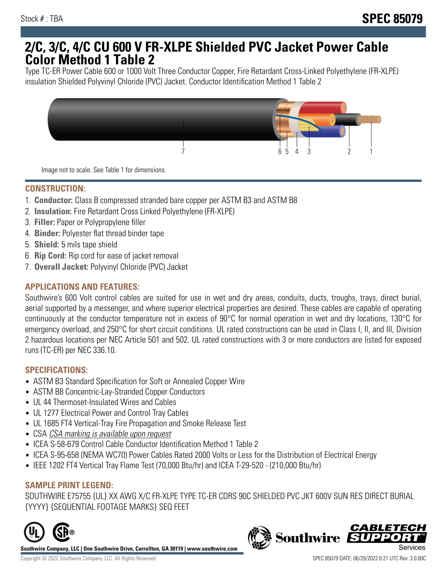# **2/C, 3/C, 4/C CU 600 V FR-XLPE Shielded PVC Jacket Power Cable Color Method 1 Table 2**

Type TC-ER Power Cable 600 or 1000 Volt Three Conductor Copper, Fire Retardant Cross-Linked Polyethylene (FR-XLPE) insulation Shielded Polyvinyl Chloride (PVC) Jacket. Conductor Identification Method 1 Table 2



Image not to scale. See Table 1 for dimensions.

## **CONSTRUCTION:**

- 1. **Conductor:** Class B compressed stranded bare copper per ASTM B3 and ASTM B8
- 2. **Insulation:** Fire Retardant Cross Linked Polyethylene (FR-XLPE)
- 3. **Filler:** Paper or Polypropylene filler
- 4. **Binder:** Polyester flat thread binder tape
- 5. **Shield:** 5 mils tape shield
- 6. **Rip Cord:** Rip cord for ease of jacket removal
- 7. **Overall Jacket:** Polyvinyl Chloride (PVC) Jacket

### **APPLICATIONS AND FEATURES:**

Southwire's 600 Volt control cables are suited for use in wet and dry areas, conduits, ducts, troughs, trays, direct burial, aerial supported by a messenger, and where superior electrical properties are desired. These cables are capable of operating continuously at the conductor temperature not in excess of 90°C for normal operation in wet and dry locations, 130°C for emergency overload, and 250°C for short circuit conditions. UL rated constructions can be used in Class I, II, and III, Division 2 hazardous locations per NEC Article 501 and 502. UL rated constructions with 3 or more conductors are listed for exposed runs (TC-ER) per NEC 336.10.

#### **SPECIFICATIONS:**

- ASTM B3 Standard Specification for Soft or Annealed Copper Wire
- ASTM B8 Concentric-Lay-Stranded Copper Conductors
- UL 44 Thermoset-Insulated Wires and Cables
- UL 1277 Electrical Power and Control Tray Cables
- UL 1685 FT4 Vertical-Tray Fire Propagation and Smoke Release Test
- CSA CSA marking is available upon request
- ICEA S-58-679 Control Cable Conductor Identification Method 1 Table 2
- ICEA S-95-658 (NEMA WC70) Power Cables Rated 2000 Volts or Less for the Distribution of Electrical Energy
- IEEE 1202 FT4 Vertical Tray Flame Test (70,000 Btu/hr) and ICEA T-29-520 (210,000 Btu/hr)

#### **SAMPLE PRINT LEGEND:**

SOUTHWIRE E75755 {UL} XX AWG X/C FR-XLPE TYPE TC-ER CDRS 90C SHIELDED PVC JKT 600V SUN RES DIRECT BURIAL {YYYY} {SEQUENTIAL FOOTAGE MARKS} SEQ FEET



**Southwire Company, LLC | One Southwire Drive, Carrollton, GA 30119 | www.southwire.com**